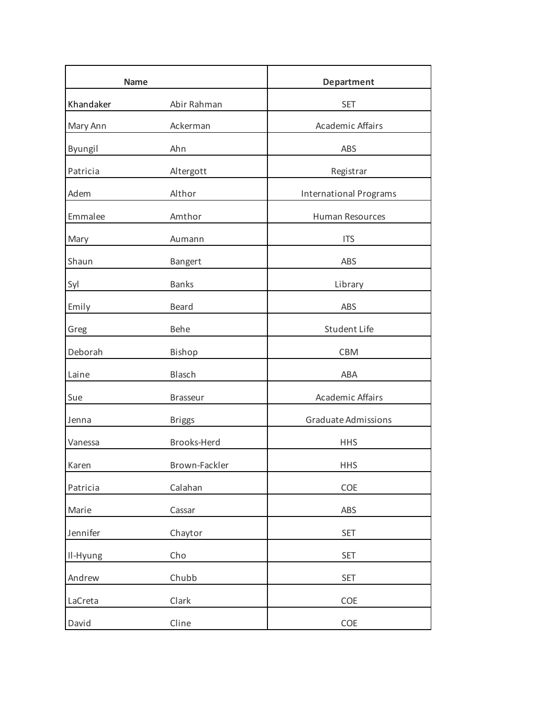| <b>Name</b> |                 | <b>Department</b>             |
|-------------|-----------------|-------------------------------|
| Khandaker   | Abir Rahman     | <b>SET</b>                    |
| Mary Ann    | Ackerman        | <b>Academic Affairs</b>       |
| Byungil     | Ahn             | ABS                           |
| Patricia    | Altergott       | Registrar                     |
| Adem        | Althor          | <b>International Programs</b> |
| Emmalee     | Amthor          | Human Resources               |
| Mary        | Aumann          | <b>ITS</b>                    |
| Shaun       | <b>Bangert</b>  | ABS                           |
| Syl         | <b>Banks</b>    | Library                       |
| Emily       | <b>Beard</b>    | ABS                           |
| Greg        | <b>Behe</b>     | Student Life                  |
| Deborah     | Bishop          | <b>CBM</b>                    |
| Laine       | Blasch          | <b>ABA</b>                    |
| Sue         | <b>Brasseur</b> | <b>Academic Affairs</b>       |
| Jenna       | <b>Briggs</b>   | Graduate Admissions           |
| Vanessa     | Brooks-Herd     | <b>HHS</b>                    |
| Karen       | Brown-Fackler   | <b>HHS</b>                    |
| Patricia    | Calahan         | COE                           |
| Marie       | Cassar          | ABS                           |
| Jennifer    | Chaytor         | <b>SET</b>                    |
| Il-Hyung    | Cho             | <b>SET</b>                    |
| Andrew      | Chubb           | <b>SET</b>                    |
| LaCreta     | Clark           | COE                           |
| David       | Cline           | COE                           |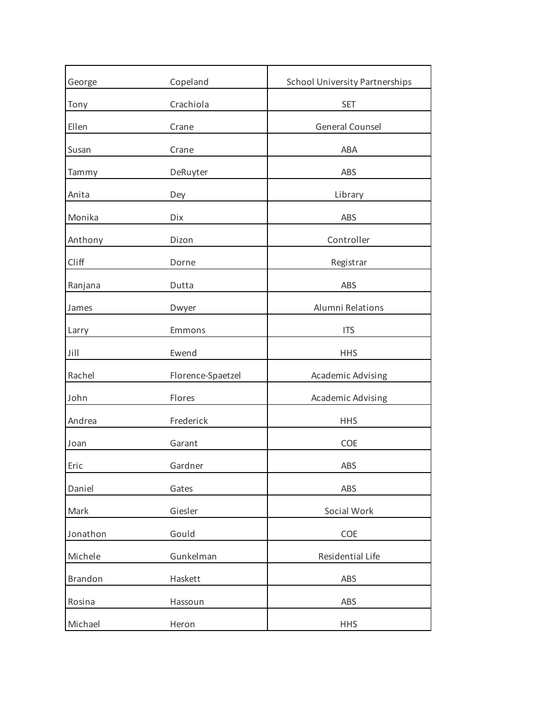| George   | Copeland          | <b>School University Partnerships</b> |
|----------|-------------------|---------------------------------------|
| Tony     | Crachiola         | <b>SET</b>                            |
| Ellen    | Crane             | General Counsel                       |
| Susan    | Crane             | ABA                                   |
| Tammy    | DeRuyter          | ABS                                   |
| Anita    | Dey               | Library                               |
| Monika   | Dix               | ABS                                   |
| Anthony  | Dizon             | Controller                            |
| Cliff    | Dorne             | Registrar                             |
| Ranjana  | Dutta             | ABS                                   |
| James    | Dwyer             | Alumni Relations                      |
| Larry    | Emmons            | <b>ITS</b>                            |
| Jill     | Ewend             | <b>HHS</b>                            |
| Rachel   | Florence-Spaetzel | Academic Advising                     |
| John     | Flores            | Academic Advising                     |
| Andrea   | Frederick         | <b>HHS</b>                            |
| Joan     | Garant            | COE                                   |
| Eric     | Gardner           | ABS                                   |
| Daniel   | Gates             | ABS                                   |
| Mark     | Giesler           | Social Work                           |
| Jonathon | Gould             | COE                                   |
| Michele  | Gunkelman         | Residential Life                      |
| Brandon  | Haskett           | ABS                                   |
| Rosina   | Hassoun           | ABS                                   |
| Michael  | Heron             | <b>HHS</b>                            |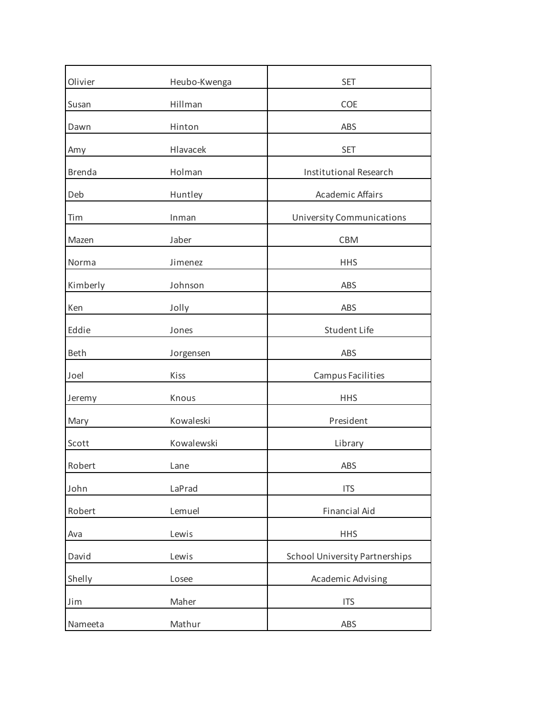| Olivier       | Heubo-Kwenga | <b>SET</b>                            |
|---------------|--------------|---------------------------------------|
| Susan         | Hillman      | <b>COE</b>                            |
| Dawn          | Hinton       | ABS                                   |
| Amy           | Hlavacek     | <b>SET</b>                            |
| <b>Brenda</b> | Holman       | <b>Institutional Research</b>         |
| Deb           | Huntley      | <b>Academic Affairs</b>               |
| Tim           | Inman        | <b>University Communications</b>      |
| Mazen         | Jaber        | <b>CBM</b>                            |
| Norma         | Jimenez      | <b>HHS</b>                            |
| Kimberly      | Johnson      | ABS                                   |
| Ken           | Jolly        | ABS                                   |
| Eddie         | Jones        | Student Life                          |
| <b>Beth</b>   | Jorgensen    | ABS                                   |
| Joel          | Kiss         | Campus Facilities                     |
| Jeremy        | Knous        | <b>HHS</b>                            |
| Mary          | Kowaleski    | President                             |
| Scott         | Kowalewski   | Library                               |
| Robert        | Lane         | ABS                                   |
| John          | LaPrad       | <b>ITS</b>                            |
| Robert        | Lemuel       | <b>Financial Aid</b>                  |
| Ava           | Lewis        | <b>HHS</b>                            |
| David         | Lewis        | <b>School University Partnerships</b> |
| Shelly        | Losee        | Academic Advising                     |
| Jim           | Maher        | <b>ITS</b>                            |
| Nameeta       | Mathur       | ABS                                   |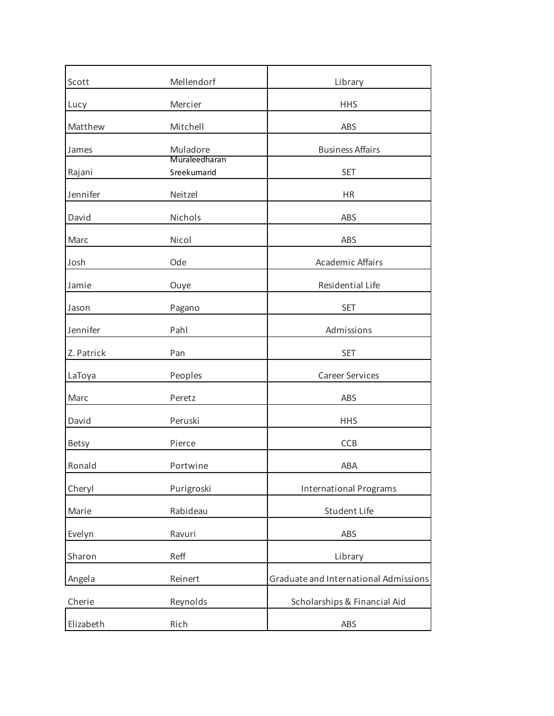| Scott        | Mellendorf                   | Library                               |
|--------------|------------------------------|---------------------------------------|
| Lucy         | Mercier                      | <b>HHS</b>                            |
| Matthew      | Mitchell                     | ABS                                   |
| James        | Muladore                     | <b>Business Affairs</b>               |
| Rajani       | Muraleedharan<br>Sreekumarid | <b>SET</b>                            |
| Jennifer     | Neitzel                      | <b>HR</b>                             |
| David        | Nichols                      | ABS                                   |
| Marc         | Nicol                        | ABS                                   |
| Josh         | Ode                          | Academic Affairs                      |
| Jamie        | Ouye                         | Residential Life                      |
| Jason        | Pagano                       | <b>SET</b>                            |
| Jennifer     | Pahl                         | Admissions                            |
| Z. Patrick   | Pan                          | <b>SET</b>                            |
| LaToya       | Peoples                      | <b>Career Services</b>                |
| Marc         | Peretz                       | ABS                                   |
| David        | Peruski                      | <b>HHS</b>                            |
| <b>Betsy</b> | Pierce                       | CCB                                   |
| Ronald       | Portwine                     | ABA                                   |
| Cheryl       | Purigroski                   | <b>International Programs</b>         |
| Marie        | Rabideau                     | <b>Student Life</b>                   |
| Evelyn       | Ravuri                       | ABS                                   |
| Sharon       | Reff                         | Library                               |
| Angela       | Reinert                      | Graduate and International Admissions |
| Cherie       | Reynolds                     | Scholarships & Financial Aid          |
| Elizabeth    | Rich                         | ABS                                   |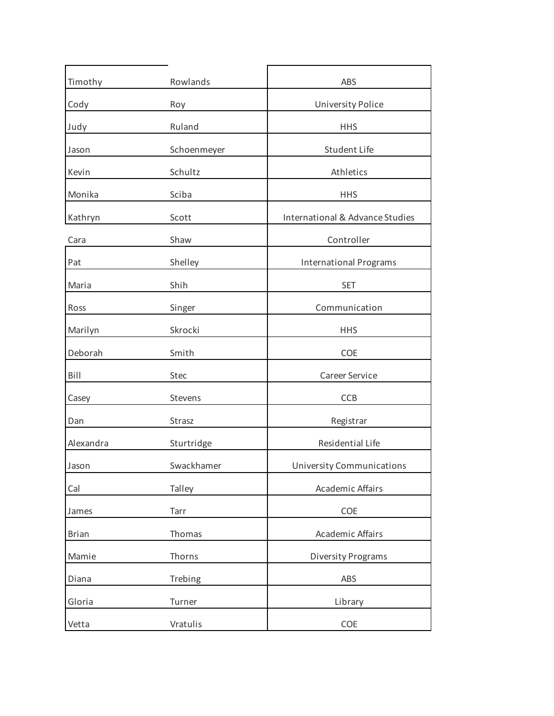| Timothy      | Rowlands    | ABS                              |
|--------------|-------------|----------------------------------|
| Cody         | Roy         | <b>University Police</b>         |
| Judy         | Ruland      | <b>HHS</b>                       |
| Jason        | Schoenmeyer | Student Life                     |
| Kevin        | Schultz     | Athletics                        |
| Monika       | Sciba       | <b>HHS</b>                       |
| Kathryn      | Scott       | International & Advance Studies  |
| Cara         | Shaw        | Controller                       |
| Pat          | Shelley     | <b>International Programs</b>    |
| Maria        | Shih        | <b>SET</b>                       |
| Ross         | Singer      | Communication                    |
| Marilyn      | Skrocki     | <b>HHS</b>                       |
| Deborah      | Smith       | <b>COE</b>                       |
| Bill         | <b>Stec</b> | Career Service                   |
| Casey        | Stevens     | <b>CCB</b>                       |
| Dan          | Strasz      | Registrar                        |
| Alexandra    | Sturtridge  | Residential Life                 |
| Jason        | Swackhamer  | <b>University Communications</b> |
| Cal          | Talley      | Academic Affairs                 |
| James        | Tarr        | COE                              |
| <b>Brian</b> | Thomas      | Academic Affairs                 |
| Mamie        | Thorns      | <b>Diversity Programs</b>        |
| Diana        | Trebing     | ABS                              |
| Gloria       | Turner      | Library                          |
| Vetta        | Vratulis    | COE                              |